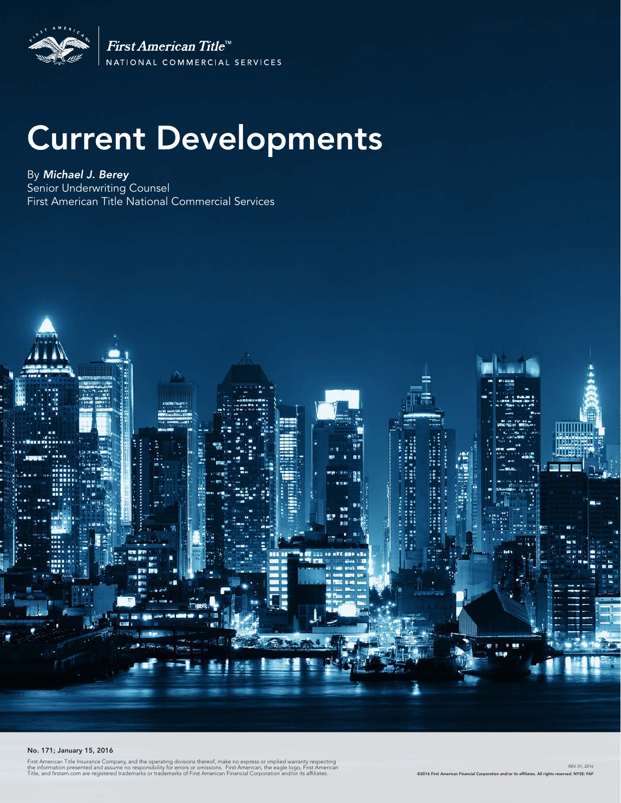

First American Title<sup>tt</sup> NATIONAL COMMERCIAL SERVICES

# Current Developments

By *Michael J. Berey*  Senior Underwriting Counsel First American Title National Commercial Services



#### No. 171; January 15, 2016

First American Title Insurance Company, and the operating divisions thereof, make no express or implied warranty respecting<br>the information presented and assume no responsibility for errors or omissions. First American, th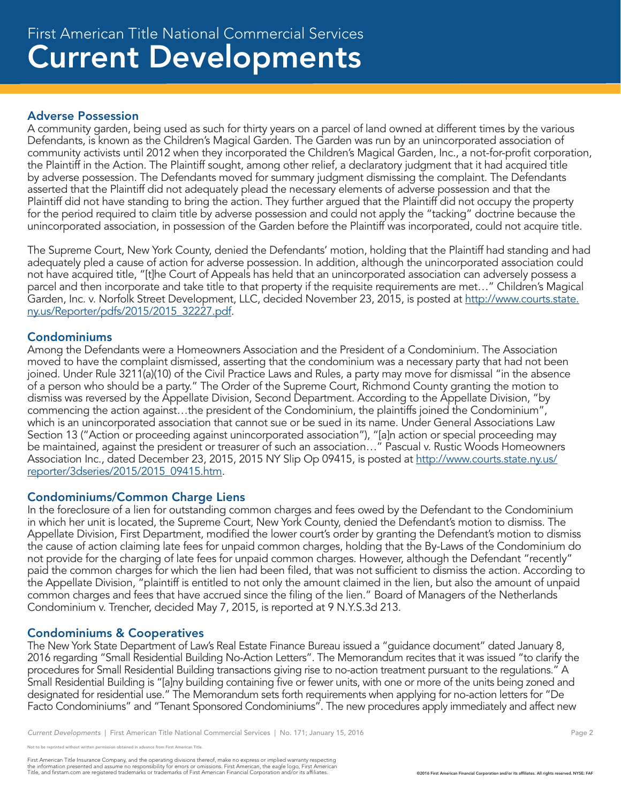## Current Developments First American Title National Commercial Services

#### Adverse Possession

A community garden, being used as such for thirty years on a parcel of land owned at different times by the various Defendants, is known as the Children's Magical Garden. The Garden was run by an unincorporated association of community activists until 2012 when they incorporated the Children's Magical Garden, Inc., a not-for-profit corporation, the Plaintiff in the Action. The Plaintiff sought, among other relief, a declaratory judgment that it had acquired title by adverse possession. The Defendants moved for summary judgment dismissing the complaint. The Defendants asserted that the Plaintiff did not adequately plead the necessary elements of adverse possession and that the Plaintiff did not have standing to bring the action. They further argued that the Plaintiff did not occupy the property for the period required to claim title by adverse possession and could not apply the "tacking" doctrine because the unincorporated association, in possession of the Garden before the Plaintiff was incorporated, could not acquire title.

The Supreme Court, New York County, denied the Defendants' motion, holding that the Plaintiff had standing and had adequately pled a cause of action for adverse possession. In addition, although the unincorporated association could not have acquired title, "[t]he Court of Appeals has held that an unincorporated association can adversely possess a parcel and then incorporate and take title to that property if the requisite requirements are met…" Children's Magical Garden, Inc. v. Norfolk Street Development, LLC, decided November 23, 2015, is posted at http://www.courts.state. ny.us/Reporter/pdfs/2015/2015\_32227.pdf.

#### Condominiums

Among the Defendants were a Homeowners Association and the President of a Condominium. The Association moved to have the complaint dismissed, asserting that the condominium was a necessary party that had not been joined. Under Rule 3211(a)(10) of the Civil Practice Laws and Rules, a party may move for dismissal "in the absence of a person who should be a party." The Order of the Supreme Court, Richmond County granting the motion to dismiss was reversed by the Appellate Division, Second Department. According to the Appellate Division, "by commencing the action against…the president of the Condominium, the plaintiffs joined the Condominium", which is an unincorporated association that cannot sue or be sued in its name. Under General Associations Law Section 13 ("Action or proceeding against unincorporated association"), "[a]n action or special proceeding may be maintained, against the president or treasurer of such an association…" Pascual v. Rustic Woods Homeowners Association Inc., dated December 23, 2015, 2015 NY Slip Op 09415, is posted at http://www.courts.state.ny.us/ reporter/3dseries/2015/2015\_09415.htm.

#### Condominiums/Common Charge Liens

In the foreclosure of a lien for outstanding common charges and fees owed by the Defendant to the Condominium in which her unit is located, the Supreme Court, New York County, denied the Defendant's motion to dismiss. The Appellate Division, First Department, modified the lower court's order by granting the Defendant's motion to dismiss the cause of action claiming late fees for unpaid common charges, holding that the By-Laws of the Condominium do not provide for the charging of late fees for unpaid common charges. However, although the Defendant "recently" paid the common charges for which the lien had been filed, that was not sufficient to dismiss the action. According to the Appellate Division, "plaintiff is entitled to not only the amount claimed in the lien, but also the amount of unpaid common charges and fees that have accrued since the filing of the lien." Board of Managers of the Netherlands Condominium v. Trencher, decided May 7, 2015, is reported at 9 N.Y.S.3d 213.

#### Condominiums & Cooperatives

The New York State Department of Law's Real Estate Finance Bureau issued a "guidance document" dated January 8, 2016 regarding "Small Residential Building No-Action Letters". The Memorandum recites that it was issued "to clarify the procedures for Small Residential Building transactions giving rise to no-action treatment pursuant to the regulations." A Small Residential Building is "[a]ny building containing five or fewer units, with one or more of the units being zoned and designated for residential use." The Memorandum sets forth requirements when applying for no-action letters for "De Facto Condominiums" and "Tenant Sponsored Condominiums". The new procedures apply immediately and affect new

First American Title Insurance Company, and the operating divisions thereof, make no express or implied warranty respecting<br>the information presented and assume no responsibility for errors or omissions. First American end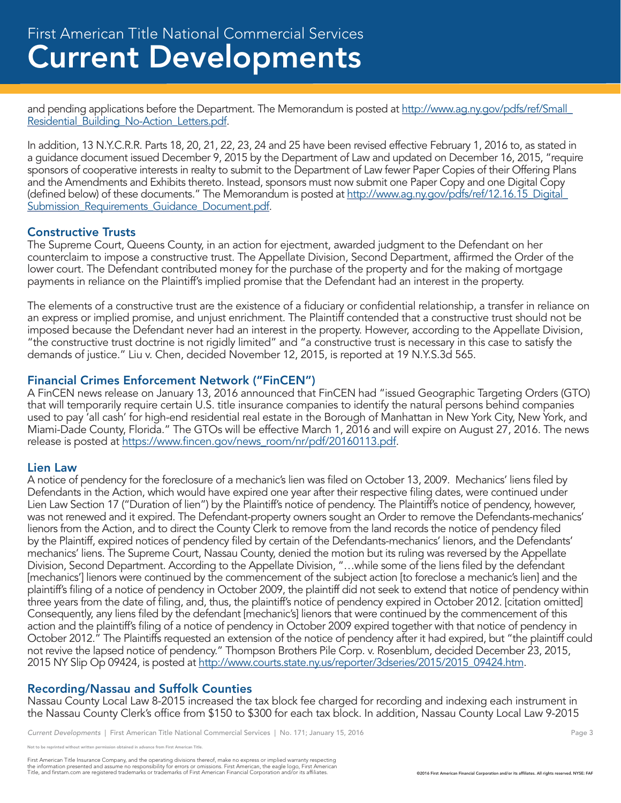and pending applications before the Department. The Memorandum is posted at http://www.ag.ny.gov/pdfs/ref/Small\_ Residential\_Building\_No-Action\_Letters.pdf.

In addition, 13 N.Y.C.R.R. Parts 18, 20, 21, 22, 23, 24 and 25 have been revised effective February 1, 2016 to, as stated in a guidance document issued December 9, 2015 by the Department of Law and updated on December 16, 2015, "require sponsors of cooperative interests in realty to submit to the Department of Law fewer Paper Copies of their Offering Plans and the Amendments and Exhibits thereto. Instead, sponsors must now submit one Paper Copy and one Digital Copy (defined below) of these documents." The Memorandum is posted at http://www.ag.ny.gov/pdfs/ref/12.16.15 Digital Submission Requirements Guidance Document.pdf.

### Constructive Trusts

The Supreme Court, Queens County, in an action for ejectment, awarded judgment to the Defendant on her counterclaim to impose a constructive trust. The Appellate Division, Second Department, affirmed the Order of the lower court. The Defendant contributed money for the purchase of the property and for the making of mortgage payments in reliance on the Plaintiff's implied promise that the Defendant had an interest in the property.

The elements of a constructive trust are the existence of a fiduciary or confidential relationship, a transfer in reliance on an express or implied promise, and unjust enrichment. The Plaintiff contended that a constructive trust should not be imposed because the Defendant never had an interest in the property. However, according to the Appellate Division, "the constructive trust doctrine is not rigidly limited" and "a constructive trust is necessary in this case to satisfy the demands of justice." Liu v. Chen, decided November 12, 2015, is reported at 19 N.Y.S.3d 565.

#### Financial Crimes Enforcement Network ("FinCEN")

A FinCEN news release on January 13, 2016 announced that FinCEN had "issued Geographic Targeting Orders (GTO) that will temporarily require certain U.S. title insurance companies to identify the natural persons behind companies used to pay 'all cash' for high-end residential real estate in the Borough of Manhattan in New York City, New York, and Miami-Dade County, Florida." The GTOs will be effective March 1, 2016 and will expire on August 27, 2016. The news release is posted at https://www.fincen.gov/news\_room/nr/pdf/20160113.pdf.

#### Lien Law

A notice of pendency for the foreclosure of a mechanic's lien was filed on October 13, 2009. Mechanics' liens filed by Defendants in the Action, which would have expired one year after their respective filing dates, were continued under Lien Law Section 17 ("Duration of lien") by the Plaintiff's notice of pendency. The Plaintiff's notice of pendency, however, was not renewed and it expired. The Defendant-property owners sought an Order to remove the Defendants-mechanics' lienors from the Action, and to direct the County Clerk to remove from the land records the notice of pendency filed by the Plaintiff, expired notices of pendency filed by certain of the Defendants-mechanics' lienors, and the Defendants' mechanics' liens. The Supreme Court, Nassau County, denied the motion but its ruling was reversed by the Appellate Division, Second Department. According to the Appellate Division, "…while some of the liens filed by the defendant [mechanics'] lienors were continued by the commencement of the subject action [to foreclose a mechanic's lien] and the plaintiff's filing of a notice of pendency in October 2009, the plaintiff did not seek to extend that notice of pendency within three years from the date of filing, and, thus, the plaintiff's notice of pendency expired in October 2012. [citation omitted] Consequently, any liens filed by the defendant [mechanic's] lienors that were continued by the commencement of this action and the plaintiff's filing of a notice of pendency in October 2009 expired together with that notice of pendency in October 2012." The Plaintiffs requested an extension of the notice of pendency after it had expired, but "the plaintiff could not revive the lapsed notice of pendency." Thompson Brothers Pile Corp. v. Rosenblum, decided December 23, 2015, 2015 NY Slip Op 09424, is posted at http://www.courts.state.ny.us/reporter/3dseries/2015/2015\_09424.htm.

### Recording/Nassau and Suffolk Counties

Nassau County Local Law 8-2015 increased the tax block fee charged for recording and indexing each instrument in the Nassau County Clerk's office from \$150 to \$300 for each tax block. In addition, Nassau County Local Law 9-2015

e reprinted without written permission obtained in advance from First American Title.

First American Title Insurance Company, and the operating divisions thereof, make no express or implied warranty respecting<br>the information presented and assume no responsibility for errors or omissions. First American end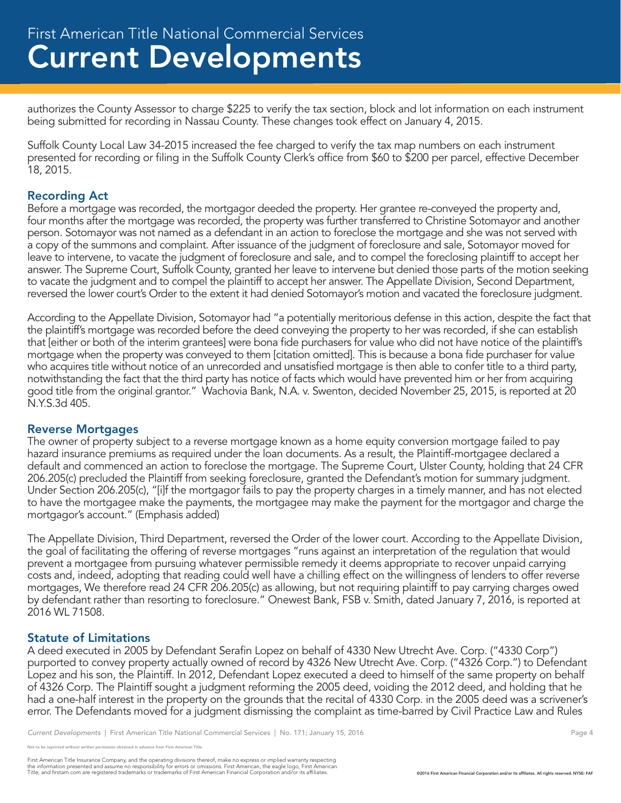authorizes the County Assessor to charge \$225 to verify the tax section, block and lot information on each instrument being submitted for recording in Nassau County. These changes took effect on January 4, 2015.

Suffolk County Local Law 34-2015 increased the fee charged to verify the tax map numbers on each instrument presented for recording or filing in the Suffolk County Clerk's office from \$60 to \$200 per parcel, effective December 18, 2015.

#### Recording Act

Before a mortgage was recorded, the mortgagor deeded the property. Her grantee re-conveyed the property and, four months after the mortgage was recorded, the property was further transferred to Christine Sotomayor and another person. Sotomayor was not named as a defendant in an action to foreclose the mortgage and she was not served with a copy of the summons and complaint. After issuance of the judgment of foreclosure and sale, Sotomayor moved for leave to intervene, to vacate the judgment of foreclosure and sale, and to compel the foreclosing plaintiff to accept her answer. The Supreme Court, Suffolk County, granted her leave to intervene but denied those parts of the motion seeking to vacate the judgment and to compel the plaintiff to accept her answer. The Appellate Division, Second Department, reversed the lower court's Order to the extent it had denied Sotomayor's motion and vacated the foreclosure judgment.

According to the Appellate Division, Sotomayor had "a potentially meritorious defense in this action, despite the fact that the plaintiff's mortgage was recorded before the deed conveying the property to her was recorded, if she can establish that [either or both of the interim grantees] were bona fide purchasers for value who did not have notice of the plaintiff's mortgage when the property was conveyed to them [citation omitted]. This is because a bona fide purchaser for value who acquires title without notice of an unrecorded and unsatisfied mortgage is then able to confer title to a third party, notwithstanding the fact that the third party has notice of facts which would have prevented him or her from acquiring good title from the original grantor." Wachovia Bank, N.A. v. Swenton, decided November 25, 2015, is reported at 20 N.Y.S.3d 405.

#### Reverse Mortgages

The owner of property subject to a reverse mortgage known as a home equity conversion mortgage failed to pay hazard insurance premiums as required under the loan documents. As a result, the Plaintiff-mortgagee declared a default and commenced an action to foreclose the mortgage. The Supreme Court, Ulster County, holding that 24 CFR 206.205(c) precluded the Plaintiff from seeking foreclosure, granted the Defendant's motion for summary judgment. Under Section 206.205(c), "[i]f the mortgagor fails to pay the property charges in a timely manner, and has not elected to have the mortgagee make the payments, the mortgagee may make the payment for the mortgagor and charge the mortgagor's account." (Emphasis added)

The Appellate Division, Third Department, reversed the Order of the lower court. According to the Appellate Division, the goal of facilitating the offering of reverse mortgages "runs against an interpretation of the regulation that would prevent a mortgagee from pursuing whatever permissible remedy it deems appropriate to recover unpaid carrying costs and, indeed, adopting that reading could well have a chilling effect on the willingness of lenders to offer reverse mortgages, We therefore read 24 CFR 206.205(c) as allowing, but not requiring plaintiff to pay carrying charges owed by defendant rather than resorting to foreclosure." Onewest Bank, FSB v. Smith, dated January 7, 2016, is reported at 2016 WL 71508.

#### Statute of Limitations

A deed executed in 2005 by Defendant Serafin Lopez on behalf of 4330 New Utrecht Ave. Corp. ("4330 Corp") purported to convey property actually owned of record by 4326 New Utrecht Ave. Corp. ("4326 Corp.") to Defendant Lopez and his son, the Plaintiff. In 2012, Defendant Lopez executed a deed to himself of the same property on behalf of 4326 Corp. The Plaintiff sought a judgment reforming the 2005 deed, voiding the 2012 deed, and holding that he had a one-half interest in the property on the grounds that the recital of 4330 Corp. in the 2005 deed was a scrivener's error. The Defendants moved for a judgment dismissing the complaint as time-barred by Civil Practice Law and Rules

reprinted without written permission obtained in advance from First American Title.

First American Title Insurance Company, and the operating divisions thereof, make no express or implied warranty respecting<br>the information presented and assume no responsibility for errors or omissions. First American end